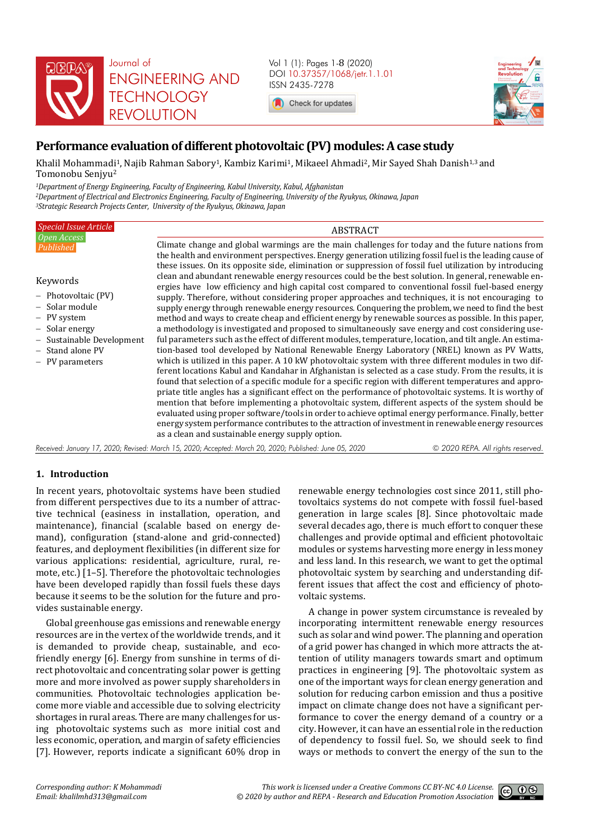

Vol 1 (1): Pages 1-8 (2020) DOI 10.37357/1068/jetr.1.1.01 ISSN 2435-7278

Check for updates



# **Performance evaluation of different photovoltaic (PV) modules: A case study**

Khalil Mohammadi<sup>1</sup>, Najib Rahman Sabory<sup>1</sup>, Kambiz Karimi<sup>1</sup>, Mikaeel Ahmadi<sup>2</sup>, Mir Sayed Shah Danish<sup>1,3</sup> and Tomonobu Senjyu<sup>2</sup>

*<sup>1</sup>Department of Energy Engineering, Faculty of Engineering, Kabul University, Kabul, Afghanistan <sup>2</sup>Department of Electrical and Electronics Engineering, Faculty of Engineering, University of the Ryukyus, Okinawa, Japan <sup>3</sup>Strategic Research Projects Center, University of the Ryukyus, Okinawa, Japan* 

| <b>Special Issue Article</b>                                                                                                                                                           | <b>ABSTRACT</b>                                                                                                                                                                                                                                                                                                                                                                                                                                                                                                                                                                                                                                                                                                                                                                                                                                                                                                                                                                                                                                                                                                                                                                                                                                                                                                                                                                                                                                                                                                                                                                                                                                                                                                                                                                                                                                                                                                                            |                                   |
|----------------------------------------------------------------------------------------------------------------------------------------------------------------------------------------|--------------------------------------------------------------------------------------------------------------------------------------------------------------------------------------------------------------------------------------------------------------------------------------------------------------------------------------------------------------------------------------------------------------------------------------------------------------------------------------------------------------------------------------------------------------------------------------------------------------------------------------------------------------------------------------------------------------------------------------------------------------------------------------------------------------------------------------------------------------------------------------------------------------------------------------------------------------------------------------------------------------------------------------------------------------------------------------------------------------------------------------------------------------------------------------------------------------------------------------------------------------------------------------------------------------------------------------------------------------------------------------------------------------------------------------------------------------------------------------------------------------------------------------------------------------------------------------------------------------------------------------------------------------------------------------------------------------------------------------------------------------------------------------------------------------------------------------------------------------------------------------------------------------------------------------------|-----------------------------------|
| Open Access<br>Published<br>Keywords<br>$-$ Photovoltaic (PV)<br>- Solar module<br>- PV system<br>- Solar energy<br>- Sustainable Development<br>$-$ Stand alone PV<br>- PV parameters | Climate change and global warmings are the main challenges for today and the future nations from<br>the health and environment perspectives. Energy generation utilizing fossil fuel is the leading cause of<br>these issues. On its opposite side, elimination or suppression of fossil fuel utilization by introducing<br>clean and abundant renewable energy resources could be the best solution. In general, renewable en-<br>ergies have low efficiency and high capital cost compared to conventional fossil fuel-based energy<br>supply. Therefore, without considering proper approaches and techniques, it is not encouraging to<br>supply energy through renewable energy resources. Conquering the problem, we need to find the best<br>method and ways to create cheap and efficient energy by renewable sources as possible. In this paper,<br>a methodology is investigated and proposed to simultaneously save energy and cost considering use-<br>ful parameters such as the effect of different modules, temperature, location, and tilt angle. An estima-<br>tion-based tool developed by National Renewable Energy Laboratory (NREL) known as PV Watts,<br>which is utilized in this paper. A 10 kW photovoltaic system with three different modules in two dif-<br>ferent locations Kabul and Kandahar in Afghanistan is selected as a case study. From the results, it is<br>found that selection of a specific module for a specific region with different temperatures and appro-<br>priate title angles has a significant effect on the performance of photovoltaic systems. It is worthy of<br>mention that before implementing a photovoltaic system, different aspects of the system should be<br>evaluated using proper software/tools in order to achieve optimal energy performance. Finally, better<br>energy system performance contributes to the attraction of investment in renewable energy resources |                                   |
|                                                                                                                                                                                        | as a clean and sustainable energy supply option.                                                                                                                                                                                                                                                                                                                                                                                                                                                                                                                                                                                                                                                                                                                                                                                                                                                                                                                                                                                                                                                                                                                                                                                                                                                                                                                                                                                                                                                                                                                                                                                                                                                                                                                                                                                                                                                                                           |                                   |
|                                                                                                                                                                                        | Received: January 17, 2020; Revised: March 15, 2020; Accepted: March 20, 2020; Published: June 05, 2020                                                                                                                                                                                                                                                                                                                                                                                                                                                                                                                                                                                                                                                                                                                                                                                                                                                                                                                                                                                                                                                                                                                                                                                                                                                                                                                                                                                                                                                                                                                                                                                                                                                                                                                                                                                                                                    | © 2020 REPA. All rights reserved. |

## **1. Introduction**

In recent years, photovoltaic systems have been studied from different perspectives due to its a number of attractive technical (easiness in installation, operation, and maintenance), financial (scalable based on energy demand), configuration (stand-alone and grid-connected) features, and deployment flexibilities (in different size for various applications: residential, agriculture, rural, remote, etc.) [1–5]. Therefore the photovoltaic technologies have been developed rapidly than fossil fuels these days because it seems to be the solution for the future and provides sustainable energy.

Global greenhouse gas emissions and renewable energy resources are in the vertex of the worldwide trends, and it is demanded to provide cheap, sustainable, and ecofriendly energy [6]. Energy from sunshine in terms of direct photovoltaic and concentrating solar power is getting more and more involved as power supply shareholders in communities. Photovoltaic technologies application become more viable and accessible due to solving electricity shortages in rural areas. There are many challenges for using photovoltaic systems such as more initial cost and less economic, operation, and margin of safety efficiencies [7]. However, reports indicate a significant 60% drop in

renewable energy technologies cost since 2011, still photovoltaics systems do not compete with fossil fuel-based generation in large scales [8]. Since photovoltaic made several decades ago, there is much effort to conquer these challenges and provide optimal and efficient photovoltaic modules or systems harvesting more energy in less money and less land. In this research, we want to get the optimal photovoltaic system by searching and understanding different issues that affect the cost and efficiency of photovoltaic systems.

A change in power system circumstance is revealed by incorporating intermittent renewable energy resources such as solar and wind power. The planning and operation of a grid power has changed in which more attracts the attention of utility managers towards smart and optimum practices in engineering [9]. The photovoltaic system as one of the important ways for clean energy generation and solution for reducing carbon emission and thus a positive impact on climate change does not have a significant performance to cover the energy demand of a country or a city. However, it can have an essential role in the reduction of dependency to fossil fuel. So, we should seek to find ways or methods to convert the energy of the sun to the

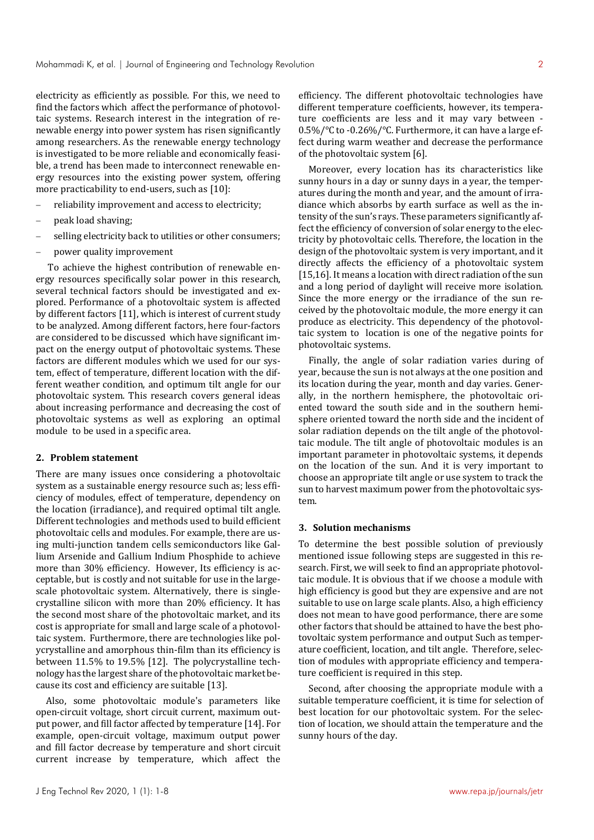electricity as efficiently as possible. For this, we need to find the factors which affect the performance of photovoltaic systems. Research interest in the integration of renewable energy into power system has risen significantly among researchers. As the renewable energy technology is investigated to be more reliable and economically feasible, a trend has been made to interconnect renewable energy resources into the existing power system, offering more practicability to end-users, such as [10]:

- reliability improvement and access to electricity;
- peak load shaving;
- selling electricity back to utilities or other consumers;
- power quality improvement

 To achieve the highest contribution of renewable energy resources specifically solar power in this research, several technical factors should be investigated and explored. Performance of a photovoltaic system is affected by different factors [11], which is interest of current study to be analyzed. Among different factors, here four-factors are considered to be discussed which have significant impact on the energy output of photovoltaic systems. These factors are different modules which we used for our system, effect of temperature, different location with the different weather condition, and optimum tilt angle for our photovoltaic system. This research covers general ideas about increasing performance and decreasing the cost of photovoltaic systems as well as exploring an optimal module to be used in a specific area.

### **2. Problem statement**

There are many issues once considering a photovoltaic system as a sustainable energy resource such as; less efficiency of modules, effect of temperature, dependency on the location (irradiance), and required optimal tilt angle. Different technologies and methods used to build efficient photovoltaic cells and modules. For example, there are using multi-junction tandem cells semiconductors like Gallium Arsenide and Gallium Indium Phosphide to achieve more than 30% efficiency. However, Its efficiency is acceptable, but is costly and not suitable for use in the largescale photovoltaic system. Alternatively, there is singlecrystalline silicon with more than 20% efficiency. It has the second most share of the photovoltaic market, and its cost is appropriate for small and large scale of a photovoltaic system. Furthermore, there are technologies like polycrystalline and amorphous thin-film than its efficiency is between 11.5% to 19.5% [12]. The polycrystalline technology has the largest share of the photovoltaic market because its cost and efficiency are suitable [13].

Also, some photovoltaic module's parameters like open-circuit voltage, short circuit current, maximum output power, and fill factor affected by temperature [14]. For example, open-circuit voltage, maximum output power and fill factor decrease by temperature and short circuit current increase by temperature, which affect the

efficiency. The different photovoltaic technologies have different temperature coefficients, however, its temperature coefficients are less and it may vary between - 0.5%/℃ to -0.26%/℃. Furthermore, it can have a large effect during warm weather and decrease the performance of the photovoltaic system [6].

Moreover, every location has its characteristics like sunny hours in a day or sunny days in a year, the temperatures during the month and year, and the amount of irradiance which absorbs by earth surface as well as the intensity of the sun's rays. These parameters significantly affect the efficiency of conversion of solar energy to the electricity by photovoltaic cells. Therefore, the location in the design of the photovoltaic system is very important, and it directly affects the efficiency of a photovoltaic system [15,16]. It means a location with direct radiation of the sun and a long period of daylight will receive more isolation. Since the more energy or the irradiance of the sun received by the photovoltaic module, the more energy it can produce as electricity. This dependency of the photovoltaic system to location is one of the negative points for photovoltaic systems.

Finally, the angle of solar radiation varies during of year, because the sun is not always at the one position and its location during the year, month and day varies. Generally, in the northern hemisphere, the photovoltaic oriented toward the south side and in the southern hemisphere oriented toward the north side and the incident of solar radiation depends on the tilt angle of the photovoltaic module. The tilt angle of photovoltaic modules is an important parameter in photovoltaic systems, it depends on the location of the sun. And it is very important to choose an appropriate tilt angle or use system to track the sun to harvest maximum power from the photovoltaic system.

### **3. Solution mechanisms**

To determine the best possible solution of previously mentioned issue following steps are suggested in this research. First, we will seek to find an appropriate photovoltaic module. It is obvious that if we choose a module with high efficiency is good but they are expensive and are not suitable to use on large scale plants. Also, a high efficiency does not mean to have good performance, there are some other factors that should be attained to have the best photovoltaic system performance and output Such as temperature coefficient, location, and tilt angle. Therefore, selection of modules with appropriate efficiency and temperature coefficient is required in this step.

Second, after choosing the appropriate module with a suitable temperature coefficient, it is time for selection of best location for our photovoltaic system. For the selection of location, we should attain the temperature and the sunny hours of the day.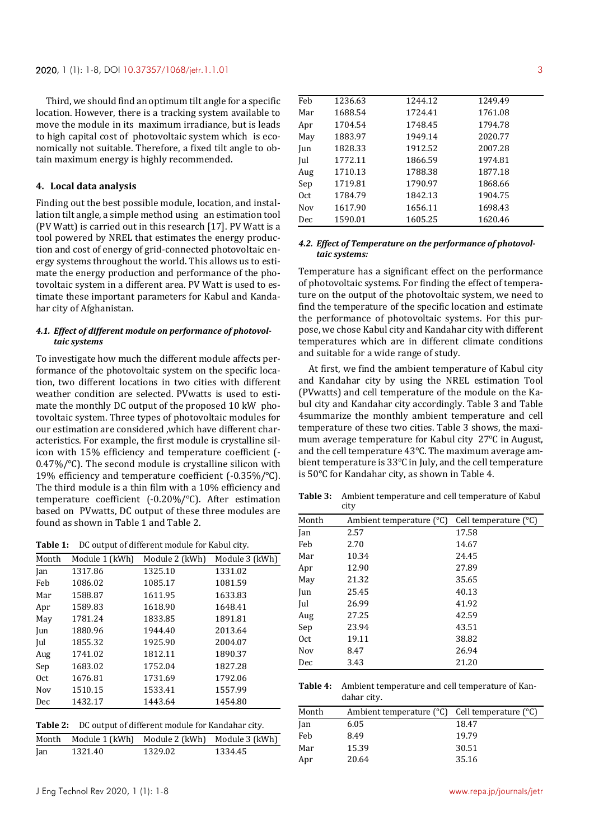Third, we should find an optimum tilt angle for a specific location. However, there is a tracking system available to move the module in its maximum irradiance, but is leads to high capital cost of photovoltaic system which is economically not suitable. Therefore, a fixed tilt angle to obtain maximum energy is highly recommended.

#### **4. Local data analysis**

Finding out the best possible module, location, and installation tilt angle, a simple method using an estimation tool (PV Watt) is carried out in this research [17]. PV Watt is a tool powered by NREL that estimates the energy production and cost of energy of grid-connected photovoltaic energy systems throughout the world. This allows us to estimate the energy production and performance of the photovoltaic system in a different area. PV Watt is used to estimate these important parameters for Kabul and Kandahar city of Afghanistan.

### *4.1. Effect of different module on performance of photovoltaic systems*

To investigate how much the different module affects performance of the photovoltaic system on the specific location, two different locations in two cities with different weather condition are selected. PVwatts is used to estimate the monthly DC output of the proposed 10 kW photovoltaic system. Three types of photovoltaic modules for our estimation are considered ,which have different characteristics. For example, the first module is crystalline silicon with 15% efficiency and temperature coefficient (- 0.47%/℃). The second module is crystalline silicon with 19% efficiency and temperature coefficient (-0.35%/℃). The third module is a thin film with a 10% efficiency and temperature coefficient (-0.20%/℃). After estimation based on PVwatts, DC output of these three modules are found as shown in Table 1 and Table 2.

**Table 1:** DC output of different module for Kabul city.

| Month           | Module 1 (kWh) | Module 2 (kWh) | Module 3 (kWh) |
|-----------------|----------------|----------------|----------------|
| Jan             | 1317.86        | 1325.10        | 1331.02        |
| Feb             | 1086.02        | 1085.17        | 1081.59        |
| Mar             | 1588.87        | 1611.95        | 1633.83        |
| Apr             | 1589.83        | 1618.90        | 1648.41        |
| May             | 1781.24        | 1833.85        | 1891.81        |
| Jun             | 1880.96        | 1944.40        | 2013.64        |
| Jul             | 1855.32        | 1925.90        | 2004.07        |
| Aug             | 1741.02        | 1812.11        | 1890.37        |
| Sep             | 1683.02        | 1752.04        | 1827.28        |
| 0 <sub>ct</sub> | 1676.81        | 1731.69        | 1792.06        |
| Nov             | 1510.15        | 1533.41        | 1557.99        |
| Dec             | 1432.17        | 1443.64        | 1454.80        |
|                 |                |                |                |

| <b>Table 2:</b> DC output of different module for Kandahar city. |  |
|------------------------------------------------------------------|--|
|------------------------------------------------------------------|--|

|     | Month Module 1 (kWh) Module 2 (kWh) Module 3 (kWh) |         |         |
|-----|----------------------------------------------------|---------|---------|
| Jan | 1321.40                                            | 1329.02 | 1334.45 |

| Feb | 1236.63 | 1244.12 | 1249.49 |  |
|-----|---------|---------|---------|--|
| Mar | 1688.54 | 1724.41 | 1761.08 |  |
| Apr | 1704.54 | 1748.45 | 1794.78 |  |
| May | 1883.97 | 1949.14 | 2020.77 |  |
| Jun | 1828.33 | 1912.52 | 2007.28 |  |
| Jul | 1772.11 | 1866.59 | 1974.81 |  |
| Aug | 1710.13 | 1788.38 | 1877.18 |  |
| Sep | 1719.81 | 1790.97 | 1868.66 |  |
| Oct | 1784.79 | 1842.13 | 1904.75 |  |
| Nov | 1617.90 | 1656.11 | 1698.43 |  |
| Dec | 1590.01 | 1605.25 | 1620.46 |  |

### *4.2. Effect of Temperature on the performance of photovoltaic systems:*

Temperature has a significant effect on the performance of photovoltaic systems. For finding the effect of temperature on the output of the photovoltaic system, we need to find the temperature of the specific location and estimate the performance of photovoltaic systems. For this purpose, we chose Kabul city and Kandahar city with different temperatures which are in different climate conditions and suitable for a wide range of study.

At first, we find the ambient temperature of Kabul city and Kandahar city by using the NREL estimation Tool (PVwatts) and cell temperature of the module on the Kabul city and Kandahar city accordingly. Table 3 and Table 4summarize the monthly ambient temperature and cell temperature of these two cities. Table 3 shows, the maximum average temperature for Kabul city 27℃ in August, and the cell temperature 43℃. The maximum average ambient temperature is 33℃ in July, and the cell temperature is 50℃ for Kandahar city, as shown in Table 4.

**Table 3:** Ambient temperature and cell temperature of Kabul city

| Month | Ambient temperature $(^{\circ}C)$ | Cell temperature $(^{\circ}C)$ |
|-------|-----------------------------------|--------------------------------|
| Jan   | 2.57                              | 17.58                          |
| Feb   | 2.70                              | 14.67                          |
| Mar   | 10.34                             | 24.45                          |
| Apr   | 12.90                             | 27.89                          |
| May   | 21.32                             | 35.65                          |
| Jun   | 25.45                             | 40.13                          |
| Jul   | 26.99                             | 41.92                          |
| Aug   | 27.25                             | 42.59                          |
| Sep   | 23.94                             | 43.51                          |
| 0ct   | 19.11                             | 38.82                          |
| Nov   | 8.47                              | 26.94                          |
| Dec   | 3.43                              | 21.20                          |

**Table 4:** Ambient temperature and cell temperature of Kandahar city.

| Month | Ambient temperature $(^{\circ}C)$ Cell temperature $(^{\circ}C)$ |       |
|-------|------------------------------------------------------------------|-------|
| Jan   | 6.05                                                             | 18.47 |
| Feb   | 8.49                                                             | 19.79 |
| Mar   | 15.39                                                            | 30.51 |
| Apr   | 20.64                                                            | 35.16 |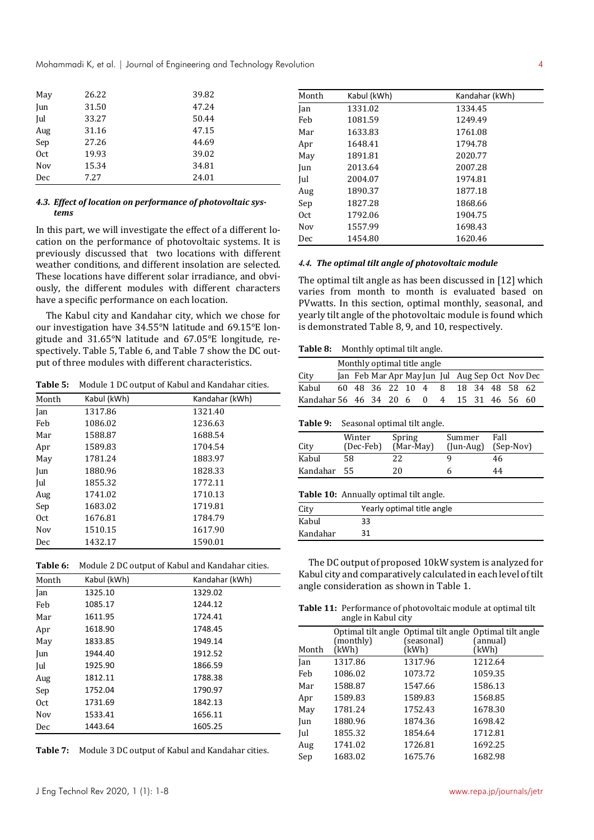Mohammadi K, et al. | Journal of Engineering and Technology Revolution 4

| May             | 26.22 | 39.82 |
|-----------------|-------|-------|
| Jun             | 31.50 | 47.24 |
| Jul             | 33.27 | 50.44 |
| Aug             | 31.16 | 47.15 |
| Sep             | 27.26 | 44.69 |
| 0 <sub>ct</sub> | 19.93 | 39.02 |
| <b>Nov</b>      | 15.34 | 34.81 |
| Dec             | 7.27  | 24.01 |

### *4.3. Effect of location on performance of photovoltaic systems*

In this part, we will investigate the effect of a different location on the performance of photovoltaic systems. It is previously discussed that two locations with different weather conditions, and different insolation are selected. These locations have different solar irradiance, and obviously, the different modules with different characters have a specific performance on each location.

The Kabul city and Kandahar city, which we chose for our investigation have 34.55°N latitude and 69.15°E longitude and 31.65°N latitude and 67.05°E longitude, respectively. Table 5, Table 6, and Table 7 show the DC output of three modules with different characteristics.

**Table 5:** Module 1 DC output of Kabul and Kandahar cities.

| Month | Kabul (kWh) | Kandahar (kWh) |
|-------|-------------|----------------|
| Jan   | 1317.86     | 1321.40        |
| Feb   | 1086.02     | 1236.63        |
| Mar   | 1588.87     | 1688.54        |
| Apr   | 1589.83     | 1704.54        |
| May   | 1781.24     | 1883.97        |
| Jun   | 1880.96     | 1828.33        |
| Jul   | 1855.32     | 1772.11        |
| Aug   | 1741.02     | 1710.13        |
| Sep   | 1683.02     | 1719.81        |
| Oct   | 1676.81     | 1784.79        |
| Nov   | 1510.15     | 1617.90        |
| Dec   | 1432.17     | 1590.01        |

| Table 6: Module 2 DC output of Kabul and Kandahar cities. |  |
|-----------------------------------------------------------|--|
|-----------------------------------------------------------|--|

| Month           | Kabul (kWh) | Kandahar (kWh) |
|-----------------|-------------|----------------|
| Jan             | 1325.10     | 1329.02        |
| Feb             | 1085.17     | 1244.12        |
| Mar             | 1611.95     | 1724.41        |
| Apr             | 1618.90     | 1748.45        |
| May             | 1833.85     | 1949.14        |
| Jun             | 1944.40     | 1912.52        |
| Jul             | 1925.90     | 1866.59        |
| Aug             | 1812.11     | 1788.38        |
| Sep             | 1752.04     | 1790.97        |
| 0 <sub>ct</sub> | 1731.69     | 1842.13        |
| Nov             | 1533.41     | 1656.11        |
| Dec             | 1443.64     | 1605.25        |

**Table 7:** Module 3 DC output of Kabul and Kandahar cities.

| Month | Kabul (kWh) | Kandahar (kWh) |
|-------|-------------|----------------|
| Jan   | 1331.02     | 1334.45        |
| Feb   | 1081.59     | 1249.49        |
| Mar   | 1633.83     | 1761.08        |
| Apr   | 1648.41     | 1794.78        |
| May   | 1891.81     | 2020.77        |
| Jun   | 2013.64     | 2007.28        |
| Jul   | 2004.07     | 1974.81        |
| Aug   | 1890.37     | 1877.18        |
| Sep   | 1827.28     | 1868.66        |
| 0ct.  | 1792.06     | 1904.75        |
| Nov   | 1557.99     | 1698.43        |
| Dec   | 1454.80     | 1620.46        |

### *4.4. The optimal tilt angle of photovoltaic module*

The optimal tilt angle as has been discussed in [12] which varies from month to month is evaluated based on PVwatts. In this section, optimal monthly, seasonal, and yearly tilt angle of the photovoltaic module is found which is demonstrated Table 8, 9, and 10, respectively.

#### **Table 8:** Monthly optimal tilt angle.

|                        | Monthly optimal title angle |                    |  |  |  |          |   |                |  |                                                 |
|------------------------|-----------------------------|--------------------|--|--|--|----------|---|----------------|--|-------------------------------------------------|
| City                   |                             |                    |  |  |  |          |   |                |  | Jan Feb Mar Apr May Jun Jul Aug Sep Oct Nov Dec |
| Kabul                  |                             | 60 48 36 22 10 4 8 |  |  |  |          |   | 18 34 48 58 62 |  |                                                 |
| Kandahar 56 46 34 20 6 |                             |                    |  |  |  | $\Omega$ | 4 | 15 31 46 56 60 |  |                                                 |

### **Table 9:** Seasonal optimal tilt angle.

| City        | Winter<br>(Dec-Feb) | Spring<br>(Mar-May) | Summer<br>$($ [un-Aug] $)$ | Fall<br>(Sep-Nov) |
|-------------|---------------------|---------------------|----------------------------|-------------------|
| Kabul       | 58                  | 22                  |                            | 46                |
| Kandahar 55 |                     | 20                  | h                          | 44                |

#### **Table 10:** Annually optimal tilt angle.

| City     | Yearly optimal title angle |
|----------|----------------------------|
| Kabul    | 33                         |
| Kandahar | 31                         |

The DC output of proposed 10kW system is analyzed for Kabul city and comparatively calculated in each level of tilt angle consideration as shown in Table 1.

**Table 11:** Performance of photovoltaic module at optimal tilt angle in Kabul city

| Month | (monthly)<br>(kWh) | Optimal tilt angle Optimal tilt angle Optimal tilt angle<br>(seasonal)<br>(kWh) | (annual)<br>(kWh) |
|-------|--------------------|---------------------------------------------------------------------------------|-------------------|
| Jan   | 1317.86            | 1317.96                                                                         | 1212.64           |
| Feb   | 1086.02            | 1073.72                                                                         | 1059.35           |
| Mar   | 1588.87            | 1547.66                                                                         | 1586.13           |
| Apr   | 1589.83            | 1589.83                                                                         | 1568.85           |
| May   | 1781.24            | 1752.43                                                                         | 1678.30           |
| Jun   | 1880.96            | 1874.36                                                                         | 1698.42           |
| Jul   | 1855.32            | 1854.64                                                                         | 1712.81           |
| Aug   | 1741.02            | 1726.81                                                                         | 1692.25           |
| Sep   | 1683.02            | 1675.76                                                                         | 1682.98           |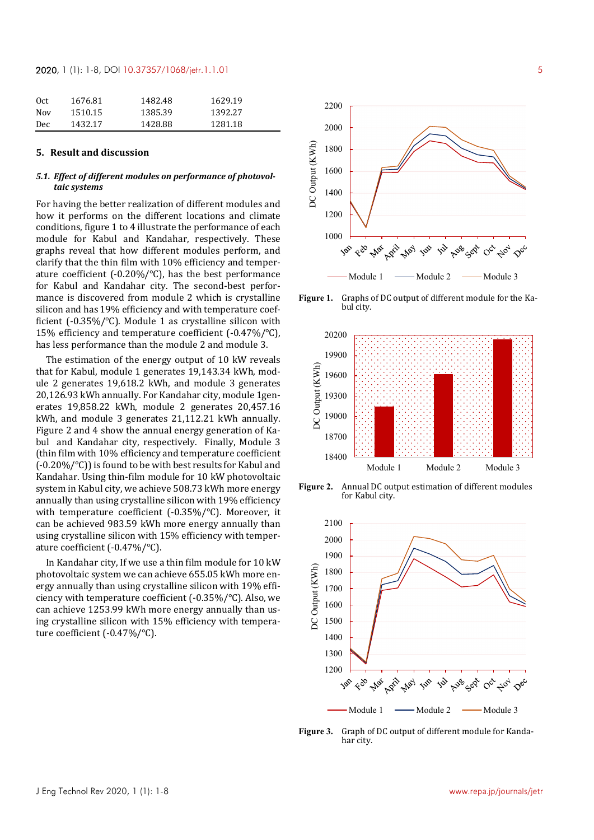### **2020**, 1 (1): 1-8, DOI 10.37357/1068/jetr.1.1.01 5

| 0 <sub>ct</sub> | 1676.81 | 1482.48 | 1629.19 |
|-----------------|---------|---------|---------|
| <b>Nov</b>      | 1510.15 | 1385.39 | 1392.27 |
| Dec             | 1432.17 | 1428.88 | 1281.18 |

#### **5. Result and discussion**

### *5.1. Effect of different modules on performance of photovoltaic systems*

For having the better realization of different modules and how it performs on the different locations and climate conditions, figure 1 to 4 illustrate the performance of each module for Kabul and Kandahar, respectively. These graphs reveal that how different modules perform, and clarify that the thin film with 10% efficiency and temperature coefficient (-0.20%/℃), has the best performance for Kabul and Kandahar city. The second-best performance is discovered from module 2 which is crystalline silicon and has 19% efficiency and with temperature coefficient (-0.35%/℃). Module 1 as crystalline silicon with 15% efficiency and temperature coefficient (-0.47%/℃), has less performance than the module 2 and module 3.

The estimation of the energy output of 10 kW reveals that for Kabul, module 1 generates 19,143.34 kWh, module 2 generates 19,618.2 kWh, and module 3 generates 20,126.93 kWh annually. For Kandahar city, module 1generates 19,858.22 kWh, module 2 generates 20,457.16 kWh, and module 3 generates 21,112.21 kWh annually. Figure 2 and 4 show the annual energy generation of Kabul and Kandahar city, respectively. Finally, Module 3 (thin film with 10% efficiency and temperature coefficient (-0.20%/℃)) is found to be with best results for Kabul and Kandahar. Using thin-film module for 10 kW photovoltaic system in Kabul city, we achieve 508.73 kWh more energy annually than using crystalline silicon with 19% efficiency with temperature coefficient (-0.35%/℃). Moreover, it can be achieved 983.59 kWh more energy annually than using crystalline silicon with 15% efficiency with temperature coefficient (-0.47%/℃).

In Kandahar city, If we use a thin film module for 10 kW photovoltaic system we can achieve 655.05 kWh more energy annually than using crystalline silicon with 19% efficiency with temperature coefficient (-0.35%/℃). Also, we can achieve 1253.99 kWh more energy annually than using crystalline silicon with 15% efficiency with temperature coefficient (-0.47%/℃).



**Figure 1.** Graphs of DC output of different module for the Kabul city.



**Figure 2.** Annual DC output estimation of different modules for Kabul city.



**Figure 3.** Graph of DC output of different module for Kandahar city.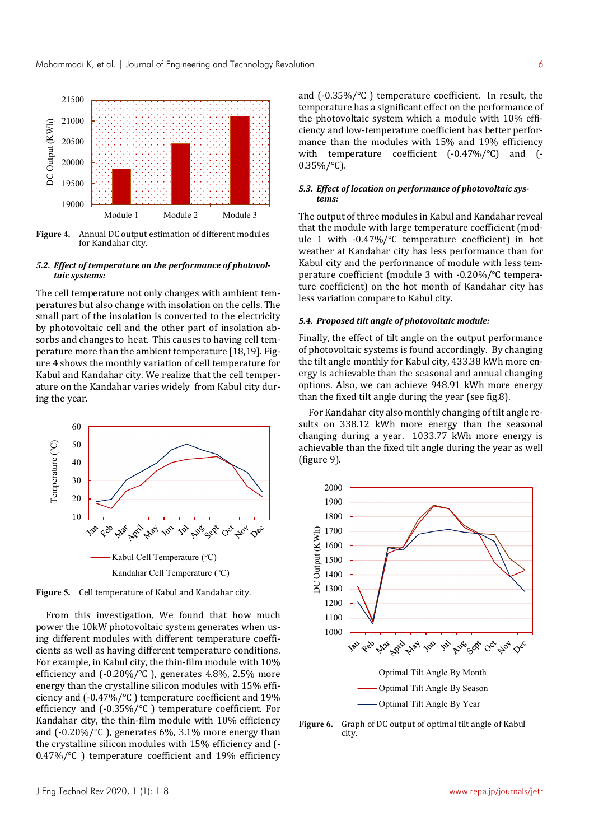

**Figure 4.** Annual DC output estimation of different modules for Kandahar city.

#### *5.2. Effect of temperature on the performance of photovoltaic systems:*

The cell temperature not only changes with ambient temperatures but also change with insolation on the cells. The small part of the insolation is converted to the electricity by photovoltaic cell and the other part of insolation absorbs and changes to heat. This causes to having cell temperature more than the ambient temperature [18,19]. Figure 4 shows the monthly variation of cell temperature for Kabul and Kandahar city. We realize that the cell temperature on the Kandahar varies widely from Kabul city during the year.



**Figure 5.** Cell temperature of Kabul and Kandahar city.

From this investigation, We found that how much power the 10kW photovoltaic system generates when using different modules with different temperature coefficients as well as having different temperature conditions. For example, in Kabul city, the thin-film module with 10% efficiency and  $(-0.20\%/°C)$ , generates 4.8%, 2.5% more energy than the crystalline silicon modules with 15% efficiency and (-0.47%/℃ ) temperature coefficient and 19% efficiency and (-0.35%/℃ ) temperature coefficient. For Kandahar city, the thin-film module with 10% efficiency and (-0.20%/℃ ), generates 6%, 3.1% more energy than the crystalline silicon modules with 15% efficiency and (- 0.47%/℃ ) temperature coefficient and 19% efficiency and (-0.35%/℃ ) temperature coefficient. In result, the temperature has a significant effect on the performance of the photovoltaic system which a module with 10% efficiency and low-temperature coefficient has better performance than the modules with 15% and 19% efficiency with temperature coefficient (-0.47%/℃) and (-  $0.35\%/°C$ ).

### *5.3. Effect of location on performance of photovoltaic systems:*

The output of three modules in Kabul and Kandahar reveal that the module with large temperature coefficient (module 1 with -0.47%/℃ temperature coefficient) in hot weather at Kandahar city has less performance than for Kabul city and the performance of module with less temperature coefficient (module 3 with -0.20%/℃ temperature coefficient) on the hot month of Kandahar city has less variation compare to Kabul city.

### *5.4. Proposed tilt angle of photovoltaic module:*

Finally, the effect of tilt angle on the output performance of photovoltaic systems is found accordingly. By changing the tilt angle monthly for Kabul city, 433.38 kWh more energy is achievable than the seasonal and annual changing options. Also, we can achieve 948.91 kWh more energy than the fixed tilt angle during the year (see fig.8).

For Kandahar city also monthly changing of tilt angle results on 338.12 kWh more energy than the seasonal changing during a year. 1033.77 kWh more energy is achievable than the fixed tilt angle during the year as well (figure 9).



**Figure 6.** Graph of DC output of optimal tilt angle of Kabul city.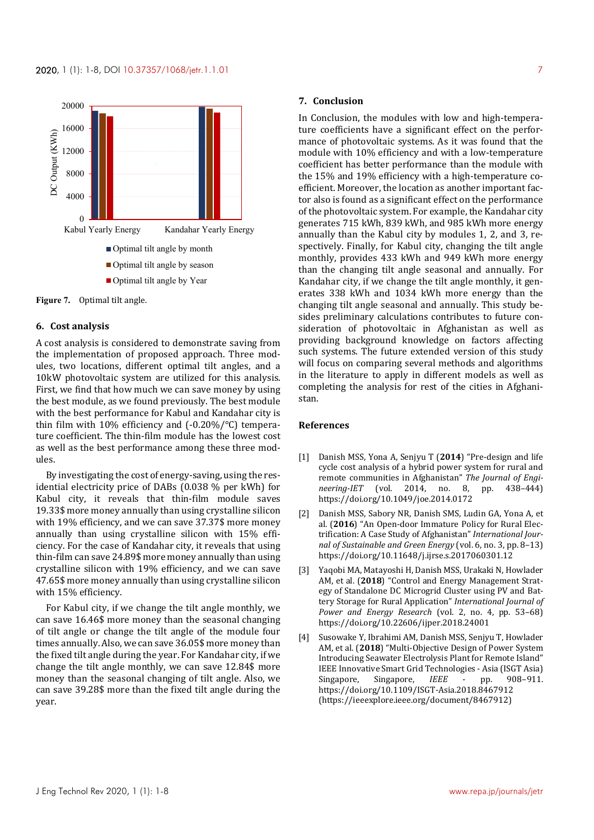

**Figure 7.** Optimal tilt angle.

### **6. Cost analysis**

A cost analysis is considered to demonstrate saving from the implementation of proposed approach. Three modules, two locations, different optimal tilt angles, and a 10kW photovoltaic system are utilized for this analysis. First, we find that how much we can save money by using the best module, as we found previously. The best module with the best performance for Kabul and Kandahar city is thin film with 10% efficiency and (-0.20%/℃) temperature coefficient. The thin-film module has the lowest cost as well as the best performance among these three modules.

By investigating the cost of energy-saving, using the residential electricity price of DABs (0.038 % per kWh) for Kabul city, it reveals that thin-film module saves 19.33\$ more money annually than using crystalline silicon with 19% efficiency, and we can save 37.37\$ more money annually than using crystalline silicon with 15% efficiency. For the case of Kandahar city, it reveals that using thin-film can save 24.89\$ more money annually than using crystalline silicon with 19% efficiency, and we can save 47.65\$ more money annually than using crystalline silicon with 15% efficiency.

For Kabul city, if we change the tilt angle monthly, we can save 16.46\$ more money than the seasonal changing of tilt angle or change the tilt angle of the module four times annually. Also, we can save 36.05\$ more money than the fixed tilt angle during the year. For Kandahar city, if we change the tilt angle monthly, we can save 12.84\$ more money than the seasonal changing of tilt angle. Also, we can save 39.28\$ more than the fixed tilt angle during the year.

#### **7. Conclusion**

In Conclusion, the modules with low and high-temperature coefficients have a significant effect on the performance of photovoltaic systems. As it was found that the module with 10% efficiency and with a low-temperature coefficient has better performance than the module with the 15% and 19% efficiency with a high-temperature coefficient. Moreover, the location as another important factor also is found as a significant effect on the performance of the photovoltaic system. For example, the Kandahar city generates 715 kWh, 839 kWh, and 985 kWh more energy annually than the Kabul city by modules 1, 2, and 3, respectively. Finally, for Kabul city, changing the tilt angle monthly, provides 433 kWh and 949 kWh more energy than the changing tilt angle seasonal and annually. For Kandahar city, if we change the tilt angle monthly, it generates 338 kWh and 1034 kWh more energy than the changing tilt angle seasonal and annually. This study besides preliminary calculations contributes to future consideration of photovoltaic in Afghanistan as well as providing background knowledge on factors affecting such systems. The future extended version of this study will focus on comparing several methods and algorithms in the literature to apply in different models as well as completing the analysis for rest of the cities in Afghanistan.

### **References**

- [1] Danish MSS, Yona A, Senjyu T (**2014**) "Pre-design and life cycle cost analysis of a hybrid power system for rural and remote communities in Afghanistan" *The Journal of Engineering-IET* (vol. 2014, no. 8, pp. 438–444) https://doi.org/10.1049/joe.2014.0172
- [2] Danish MSS, Sabory NR, Danish SMS, Ludin GA, Yona A, et al. (**2016**) "An Open-door Immature Policy for Rural Electrification: A Case Study of Afghanistan" *International Journal of Sustainable and Green Energy* (vol. 6, no. 3, pp. 8–13) https://doi.org/10.11648/j.ijrse.s.2017060301.12
- [3] Yaqobi MA, Matayoshi H, Danish MSS, Urakaki N, Howlader AM, et al. (**2018**) "Control and Energy Management Strategy of Standalone DC Microgrid Cluster using PV and Battery Storage for Rural Application" *International Journal of Power and Energy Research* (vol. 2, no. 4, pp. 53–68) https://doi.org/10.22606/ijper.2018.24001
- [4] Susowake Y, Ibrahimi AM, Danish MSS, Senjyu T, Howlader AM, et al. (**2018**) "Multi-Objective Design of Power System Introducing Seawater Electrolysis Plant for Remote Island" IEEE Innovative Smart Grid Technologies - Asia (ISGT Asia) Singapore, Singapore, *IEEE* - pp. 908–911. https://doi.org/10.1109/ISGT-Asia.2018.8467912 (https://ieeexplore.ieee.org/document/8467912)